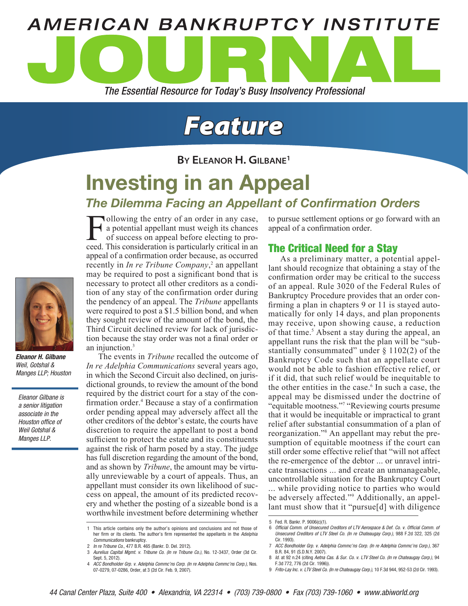

# *Feature*

**By Eleanor H. Gilbane1**

## Investing in an Appeal

## *The Dilemma Facing an Appellant of Confirmation Orders*

**Following the entry of an order in any case,** a potential appellant must weigh its chances of success on appeal before electing to proceed. This consideration is particularly critical in an appeal of a confirmation order because, as occurred recently in *In re Tribune Company*,<sup>2</sup> an appellant may be required to post a significant bond that is necessary to protect all other creditors as a condition of any stay of the confirmation order during the pendency of an appeal. The *Tribune* appellants were required to post a \$1.5 billion bond, and when they sought review of the amount of the bond, the Third Circuit declined review for lack of jurisdiction because the stay order was not a final order or an injunction.<sup>3</sup>

The events in *Tribune* recalled the outcome of *In re Adelphia Communications* several years ago, in which the Second Circuit also declined, on jurisdictional grounds, to review the amount of the bond required by the district court for a stay of the confirmation order.<sup>4</sup> Because a stay of a confirmation order pending appeal may adversely affect all the other creditors of the debtor's estate, the courts have discretion to require the appellant to post a bond sufficient to protect the estate and its constituents against the risk of harm posed by a stay. The judge has full discretion regarding the amount of the bond, and as shown by *Tribune*, the amount may be virtually unreviewable by a court of appeals. Thus, an appellant must consider its own likelihood of success on appeal, the amount of its predicted recovery and whether the posting of a sizeable bond is a worthwhile investment before determining whether

to pursue settlement options or go forward with an appeal of a confirmation order.

#### The Critical Need for a Stay

As a preliminary matter, a potential appellant should recognize that obtaining a stay of the confirmation order may be critical to the success of an appeal. Rule 3020 of the Federal Rules of Bankruptcy Procedure provides that an order confirming a plan in chapters 9 or 11 is stayed automatically for only 14 days, and plan proponents may receive, upon showing cause, a reduction of that time.<sup>5</sup> Absent a stay during the appeal, an appellant runs the risk that the plan will be "substantially consummated" under § 1102(2) of the Bankruptcy Code such that an appellate court would not be able to fashion effective relief, or if it did, that such relief would be inequitable to the other entities in the case.<sup>6</sup> In such a case, the appeal may be dismissed under the doctrine of "equitable mootness."7 "Reviewing courts presume that it would be inequitable or impractical to grant relief after substantial consummation of a plan of reorganization."8 An appellant may rebut the presumption of equitable mootness if the court can still order some effective relief that "will not affect the re-emergence of the debtor ... or unravel intricate transactions ... and create an unmanageable, uncontrollable situation for the Bankruptcy Court ... while providing notice to parties who would be adversely affected."<sup>9</sup> Additionally, an appellant must show that it "pursue[d] with diligence



*Eleanor H. Gilbane* Weil, Gotshal & Manges LLP; Houston

Eleanor Gilbane is a senior litigation associate in the Houston office of Weil Gotshal & Manges LLP.

<sup>1</sup> This article contains only the author's opinions and conclusions and not those of her firm or its clients. The author's firm represented the appellants in the Adelphia Communications bankruptcy.

<sup>2</sup> *In re Tribune Co.*, 477 B.R. 465 (Bankr. D. Del. 2012).

<sup>3</sup> Aurelius Capital Mgmt. v. Tribune Co. (In re Tribune Co.), No. 12-3437, Order (3d Cir. Sept. 5, 2012).

<sup>4</sup> ACC Bondholder Grp. v. Adelphia Commc'ns Corp. (In re Adelphia Commc'ns Corp.), Nos. 07-0279, 07-0286, Order, at 3 (2d Cir. Feb. 9, 2007).

<sup>5</sup> Fed. R. Bankr. P. 9006(c)(1).

<sup>6</sup> Official Comm. of Unsecured Creditors of LTV Aerospace & Def. Co. v. Official Comm. of Unsecured Creditors of LTV Steel Co. (In re Chateaugay Corp.), 988 F.2d 322, 325 (2d Cir. 1993).

<sup>7</sup> ACC Bondholder Grp. v. Adelphia Commc'ns Corp. (In re Adelphia Commc'ns Corp.), 367 B.R. 84, 91 (S.D.N.Y. 2007).

<sup>8</sup> Id. at 92 n.24 (citing Aetna Cas. & Sur. Co. v. LTV Steel Co. (In re Chateaugay Corp.), 94 F.3d 772, 776 (2d Cir. 1996)).

<sup>9</sup> Frito-Lay Inc. v. LTV Steel Co. (In re Chateaugay Corp.), 10 F.3d 944, 952-53 (2d Cir. 1993).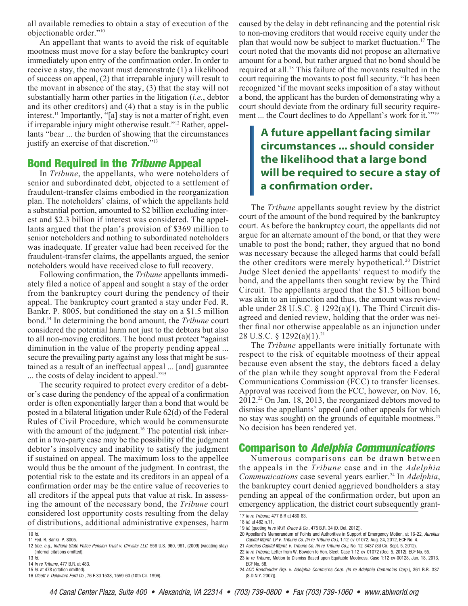all available remedies to obtain a stay of execution of the objectionable order."10

An appellant that wants to avoid the risk of equitable mootness must move for a stay before the bankruptcy court immediately upon entry of the confirmation order. In order to receive a stay, the movant must demonstrate (1) a likelihood of success on appeal, (2) that irreparable injury will result to the movant in absence of the stay, (3) that the stay will not substantially harm other parties in the litigation (*i.e.*, debtor and its other creditors) and (4) that a stay is in the public interest.<sup>11</sup> Importantly, "[a] stay is not a matter of right, even if irreparable injury might otherwise result."12 Rather, appellants "bear ... the burden of showing that the circumstances justify an exercise of that discretion."13

#### Bond Required in the *Tribune* Appeal

In *Tribune*, the appellants, who were noteholders of senior and subordinated debt, objected to a settlement of fraudulent-transfer claims embodied in the reorganization plan. The noteholders' claims, of which the appellants held a substantial portion, amounted to \$2 billion excluding interest and \$2.3 billion if interest was considered. The appellants argued that the plan's provision of \$369 million to senior noteholders and nothing to subordinated noteholders was inadequate. If greater value had been received for the fraudulent-transfer claims, the appellants argued, the senior noteholders would have received close to full recovery.

Following confirmation, the *Tribune* appellants immediately filed a notice of appeal and sought a stay of the order from the bankruptcy court during the pendency of their appeal. The bankruptcy court granted a stay under Fed. R. Bankr. P. 8005, but conditioned the stay on a \$1.5 million bond.14 In determining the bond amount, the *Tribune* court considered the potential harm not just to the debtors but also to all non-moving creditors. The bond must protect "against diminution in the value of the property pending appeal ... secure the prevailing party against any loss that might be sustained as a result of an ineffectual appeal ... [and] guarantee ... the costs of delay incident to appeal."<sup>15</sup>

The security required to protect every creditor of a debtor's case during the pendency of the appeal of a confirmation order is often exponentially larger than a bond that would be posted in a bilateral litigation under Rule 62(d) of the Federal Rules of Civil Procedure, which would be commensurate with the amount of the judgment.<sup>16</sup> The potential risk inherent in a two-party case may be the possibility of the judgment debtor's insolvency and inability to satisfy the judgment if sustained on appeal. The maximum loss to the appellee would thus be the amount of the judgment. In contrast, the potential risk to the estate and its creditors in an appeal of a confirmation order may be the entire value of recoveries to all creditors if the appeal puts that value at risk. In assessing the amount of the necessary bond, the *Tribune* court considered lost opportunity costs resulting from the delay of distributions, additional administrative expenses, harm

12 See, e.g., Indiana State Police Pension Trust v. Chrysler LLC, 556 U.S. 960, 961, (2009) (vacating stay) (internal citations omitted).  $13$  *ld.* 

15 Id. at 478 (citation omitted).

16 Olcott v. Delaware Ford Co., 76 F.3d 1538, 1559-60 (10th Cir. 1996).

caused by the delay in debt refinancing and the potential risk to non-moving creditors that would receive equity under the plan that would now be subject to market fluctuation.17 The court noted that the movants did not propose an alternative amount for a bond, but rather argued that no bond should be required at all.18 This failure of the movants resulted in the court requiring the movants to post full security. "It has been recognized 'if the movant seeks imposition of a stay without a bond, the applicant has the burden of demonstrating why a court should deviate from the ordinary full security requirement ... the Court declines to do Appellant's work for it."<sup>19</sup>

### **A future appellant facing similar circumstances ... should consider the likelihood that a large bond will be required to secure a stay of a confirmation order.**

The *Tribune* appellants sought review by the district court of the amount of the bond required by the bankruptcy court. As before the bankruptcy court, the appellants did not argue for an alternate amount of the bond, or that they were unable to post the bond; rather, they argued that no bond was necessary because the alleged harms that could befall the other creditors were merely hypothetical.20 District Judge Sleet denied the appellants' request to modify the bond, and the appellants then sought review by the Third Circuit. The appellants argued that the \$1.5 billion bond was akin to an injunction and thus, the amount was reviewable under 28 U.S.C.  $\S$  1292(a)(1). The Third Circuit disagreed and denied review, holding that the order was neither final nor otherwise appealable as an injunction under 28 U.S.C. § 1292(a)(1).<sup>21</sup>

The *Tribune* appellants were initially fortunate with respect to the risk of equitable mootness of their appeal because even absent the stay, the debtors faced a delay of the plan while they sought approval from the Federal Communications Commission (FCC) to transfer licenses. Approval was received from the FCC, however, on Nov. 16, 2012.22 On Jan. 18, 2013, the reorganized debtors moved to dismiss the appellants' appeal (and other appeals for which no stay was sought) on the grounds of equitable mootness.<sup>23</sup> No decision has been rendered yet.

#### Comparison to *Adelphia Communications*

Numerous comparisons can be drawn between the appeals in the *Tribune* case and in the *Adelphia Communications* case several years earlier.<sup>24</sup> In *Adelphia*, the bankruptcy court denied aggrieved bondholders a stay pending an appeal of the confirmation order, but upon an emergency application, the district court subsequently grant-

<sup>10</sup> Id.

<sup>11</sup> Fed. R. Bankr. P. 8005.

<sup>14</sup> In re Tribune, 477 B.R. at 483.

<sup>17</sup> In re Tribune, 477 B.R at 480-83.

<sup>18</sup> Id. at 482 n.11.

<sup>19</sup> Id. (quoting In re W.R. Grace & Co., 475 B.R. 34 (D. Del. 2012)).

<sup>20</sup> Appellant's Memorandum of Points and Authorities in Support of Emergency Motion, at 16-22, Aurelius Capital Mgmt. LP v. Tribune Co. (In re Tribune Co.), 1:12-cv-01072, Aug. 24, 2012, ECF No. 4.

<sup>21</sup> Aurelius Capital Mgmt. v. Tribune Co. (In re Tribune Co.), No. 12-3437 (3d Cir. Sept. 5, 2012).

<sup>22</sup> In re Tribune, Letter from W. Bowden to Hon. Sleet, Case 1:12-cv-01072 (Dec. 5, 2012), ECF No. 55. 23 In re Tribune, Motion to Dismiss Based upon Equitable Mootness, Case 1:12-cv-00128, Jan. 18, 2013, ECF No. 58.

<sup>24</sup> ACC Bondholder Grp. v. Adelphia Commc'ns Corp. (In re Adelphia Commc'ns Corp.), 361 B.R. 337 (S.D.N.Y. 2007)).